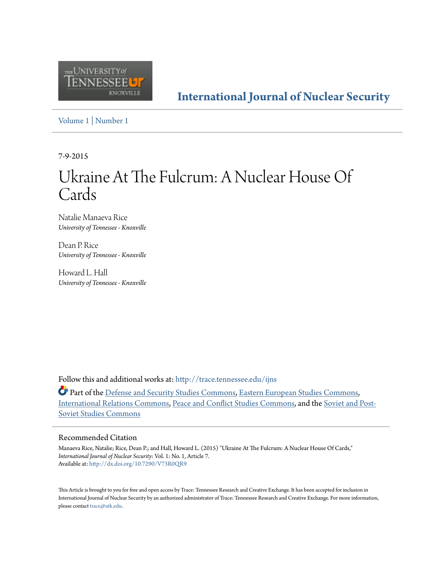

**[International Journal of Nuclear Security](http://trace.tennessee.edu/ijns?utm_source=trace.tennessee.edu%2Fijns%2Fvol1%2Fiss1%2F7&utm_medium=PDF&utm_campaign=PDFCoverPages)**

[Volume 1](http://trace.tennessee.edu/ijns/vol1?utm_source=trace.tennessee.edu%2Fijns%2Fvol1%2Fiss1%2F7&utm_medium=PDF&utm_campaign=PDFCoverPages) | [Number 1](http://trace.tennessee.edu/ijns/vol1/iss1?utm_source=trace.tennessee.edu%2Fijns%2Fvol1%2Fiss1%2F7&utm_medium=PDF&utm_campaign=PDFCoverPages)

7-9-2015

# Ukraine At The Fulcrum: A Nuclear House Of Cards

Natalie Manaeva Rice *University of Tennessee - Knoxville*

Dean P. Rice *University of Tennessee - Knoxville*

Howard L. Hall *University of Tennessee - Knoxville*

Follow this and additional works at: [http://trace.tennessee.edu/ijns](http://trace.tennessee.edu/ijns?utm_source=trace.tennessee.edu%2Fijns%2Fvol1%2Fiss1%2F7&utm_medium=PDF&utm_campaign=PDFCoverPages)

Part of the [Defense and Security Studies Commons](http://network.bepress.com/hgg/discipline/394?utm_source=trace.tennessee.edu%2Fijns%2Fvol1%2Fiss1%2F7&utm_medium=PDF&utm_campaign=PDFCoverPages), [Eastern European Studies Commons](http://network.bepress.com/hgg/discipline/362?utm_source=trace.tennessee.edu%2Fijns%2Fvol1%2Fiss1%2F7&utm_medium=PDF&utm_campaign=PDFCoverPages), [International Relations Commons](http://network.bepress.com/hgg/discipline/389?utm_source=trace.tennessee.edu%2Fijns%2Fvol1%2Fiss1%2F7&utm_medium=PDF&utm_campaign=PDFCoverPages), [Peace and Conflict Studies Commons](http://network.bepress.com/hgg/discipline/397?utm_source=trace.tennessee.edu%2Fijns%2Fvol1%2Fiss1%2F7&utm_medium=PDF&utm_campaign=PDFCoverPages), and the [Soviet and Post-](http://network.bepress.com/hgg/discipline/364?utm_source=trace.tennessee.edu%2Fijns%2Fvol1%2Fiss1%2F7&utm_medium=PDF&utm_campaign=PDFCoverPages)[Soviet Studies Commons](http://network.bepress.com/hgg/discipline/364?utm_source=trace.tennessee.edu%2Fijns%2Fvol1%2Fiss1%2F7&utm_medium=PDF&utm_campaign=PDFCoverPages)

#### Recommended Citation

Manaeva Rice, Natalie; Rice, Dean P.; and Hall, Howard L. (2015) "Ukraine At The Fulcrum: A Nuclear House Of Cards," *International Journal of Nuclear Security*: Vol. 1: No. 1, Article 7. Available at: <http://dx.doi.org/10.7290/V73R0QR9>

This Article is brought to you for free and open access by Trace: Tennessee Research and Creative Exchange. It has been accepted for inclusion in International Journal of Nuclear Security by an authorized administrator of Trace: Tennessee Research and Creative Exchange. For more information, please contact [trace@utk.edu.](mailto:trace@utk.edu)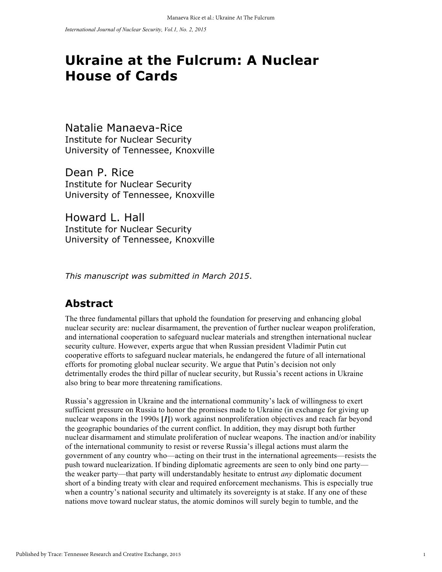## **Ukraine at the Fulcrum: A Nuclear House of Cards**

Natalie Manaeva-Rice Institute for Nuclear Security University of Tennessee, Knoxville

Dean P. Rice Institute for Nuclear Security University of Tennessee, Knoxville

Howard L. Hall Institute for Nuclear Security University of Tennessee, Knoxville

*This manuscript was submitted in March 2015*.

#### **Abstract**

The three fundamental pillars that uphold the foundation for preserving and enhancing global nuclear security are: nuclear disarmament, the prevention of further nuclear weapon proliferation, and international cooperation to safeguard nuclear materials and strengthen international nuclear security culture. However, experts argue that when Russian president Vladimir Putin cut cooperative efforts to safeguard nuclear materials, he endangered the future of all international efforts for promoting global nuclear security. We argue that Putin's decision not only detrimentally erodes the third pillar of nuclear security, but Russia's recent actions in Ukraine also bring to bear more threatening ramifications.

Russia's aggression in Ukraine and the international community's lack of willingness to exert sufficient pressure on Russia to honor the promises made to Ukraine (in exchange for giving up nuclear weapons in the 1990s **[***1***]**) work against nonproliferation objectives and reach far beyond the geographic boundaries of the current conflict. In addition, they may disrupt both further nuclear disarmament and stimulate proliferation of nuclear weapons. The inaction and/or inability of the international community to resist or reverse Russia's illegal actions must alarm the government of any country who—acting on their trust in the international agreements—resists the push toward nuclearization. If binding diplomatic agreements are seen to only bind one party the weaker party—that party will understandably hesitate to entrust *any* diplomatic document short of a binding treaty with clear and required enforcement mechanisms. This is especially true when a country's national security and ultimately its sovereignty is at stake. If any one of these nations move toward nuclear status, the atomic dominos will surely begin to tumble, and the

1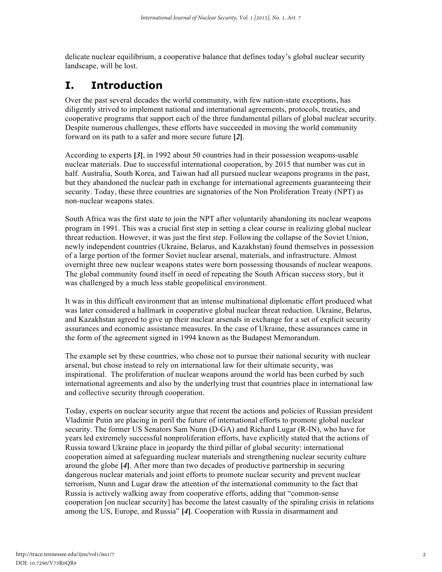delicate nuclear equilibrium, a cooperative balance that defines today's global nuclear security landscape, will be lost.

#### **I. Introduction**

Over the past several decades the world community, with few nation-state exceptions, has diligently strived to implement national and international agreements, protocols, treaties, and cooperative programs that support each of the three fundamental pillars of global nuclear security. Despite numerous challenges, these efforts have succeeded in moving the world community forward on its path to a safer and more secure future **[***2***]**.

According to experts **[***3***]**, in 1992 about 50 countries had in their possession weapons-usable nuclear materials. Due to successful international cooperation, by 2015 that number was cut in half. Australia, South Korea, and Taiwan had all pursued nuclear weapons programs in the past, but they abandoned the nuclear path in exchange for international agreements guaranteeing their security. Today, these three countries are signatories of the Non Proliferation Treaty (NPT) as non-nuclear weapons states.

South Africa was the first state to join the NPT after voluntarily abandoning its nuclear weapons program in 1991. This was a crucial first step in setting a clear course in realizing global nuclear threat reduction. However, it was just the first step. Following the collapse of the Soviet Union, newly independent countries (Ukraine, Belarus, and Kazakhstan) found themselves in possession of a large portion of the former Soviet nuclear arsenal, materials, and infrastructure. Almost overnight three new nuclear weapons states were born possessing thousands of nuclear weapons. The global community found itself in need of repeating the South African success story, but it was challenged by a much less stable geopolitical environment.

It was in this difficult environment that an intense multinational diplomatic effort produced what was later considered a hallmark in cooperative global nuclear threat reduction. Ukraine, Belarus, and Kazakhstan agreed to give up their nuclear arsenals in exchange for a set of explicit security assurances and economic assistance measures. In the case of Ukraine, these assurances came in the form of the agreement signed in 1994 known as the Budapest Memorandum.

The example set by these countries, who chose not to pursue their national security with nuclear arsenal, but chose instead to rely on international law for their ultimate security, was inspirational. The proliferation of nuclear weapons around the world has been curbed by such international agreements and also by the underlying trust that countries place in international law and collective security through cooperation.

Today, experts on nuclear security argue that recent the actions and policies of Russian president Vladimir Putin are placing in peril the future of international efforts to promote global nuclear security. The former US Senators Sam Nunn (D-GA) and Richard Lugar (R-IN), who have for years led extremely successful nonproliferation efforts, have explicitly stated that the actions of Russia toward Ukraine place in jeopardy the third pillar of global security: international cooperation aimed at safeguarding nuclear materials and strengthening nuclear security culture around the globe **[***4***]**. After more than two decades of productive partnership in securing dangerous nuclear materials and joint efforts to promote nuclear security and prevent nuclear terrorism, Nunn and Lugar draw the attention of the international community to the fact that Russia is actively walking away from cooperative efforts, adding that "common-sense cooperation [on nuclear security] has become the latest casualty of the spiraling crisis in relations among the US, Europe, and Russia" **[***4***]**. Cooperation with Russia in disarmament and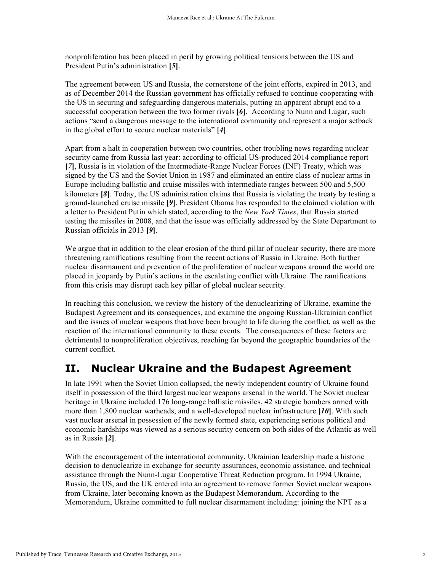nonproliferation has been placed in peril by growing political tensions between the US and President Putin's administration **[***5***]**.

The agreement between US and Russia, the cornerstone of the joint efforts, expired in 2013, and as of December 2014 the Russian government has officially refused to continue cooperating with the US in securing and safeguarding dangerous materials, putting an apparent abrupt end to a successful cooperation between the two former rivals **[***6***]**. According to Nunn and Lugar, such actions "send a dangerous message to the international community and represent a major setback in the global effort to secure nuclear materials" **[***4***]**.

Apart from a halt in cooperation between two countries, other troubling news regarding nuclear security came from Russia last year: according to official US-produced 2014 compliance report **[***7***]**, Russia is in violation of the Intermediate-Range Nuclear Forces (INF) Treaty, which was signed by the US and the Soviet Union in 1987 and eliminated an entire class of nuclear arms in Europe including ballistic and cruise missiles with intermediate ranges between 500 and 5,500 kilometers **[***8***]**. Today, the US administration claims that Russia is violating the treaty by testing a ground-launched cruise missile **[***9***]**. President Obama has responded to the claimed violation with a letter to President Putin which stated, according to the *New York Times*, that Russia started testing the missiles in 2008, and that the issue was officially addressed by the State Department to Russian officials in 2013 **[***9***]**.

We argue that in addition to the clear erosion of the third pillar of nuclear security, there are more threatening ramifications resulting from the recent actions of Russia in Ukraine. Both further nuclear disarmament and prevention of the proliferation of nuclear weapons around the world are placed in jeopardy by Putin's actions in the escalating conflict with Ukraine. The ramifications from this crisis may disrupt each key pillar of global nuclear security.

In reaching this conclusion, we review the history of the denuclearizing of Ukraine, examine the Budapest Agreement and its consequences, and examine the ongoing Russian-Ukrainian conflict and the issues of nuclear weapons that have been brought to life during the conflict, as well as the reaction of the international community to these events. The consequences of these factors are detrimental to nonproliferation objectives, reaching far beyond the geographic boundaries of the current conflict.

#### **II. Nuclear Ukraine and the Budapest Agreement**

In late 1991 when the Soviet Union collapsed, the newly independent country of Ukraine found itself in possession of the third largest nuclear weapons arsenal in the world. The Soviet nuclear heritage in Ukraine included 176 long-range ballistic missiles, 42 strategic bombers armed with more than 1,800 nuclear warheads, and a well-developed nuclear infrastructure **[***10***]**. With such vast nuclear arsenal in possession of the newly formed state, experiencing serious political and economic hardships was viewed as a serious security concern on both sides of the Atlantic as well as in Russia **[***2***]**.

With the encouragement of the international community, Ukrainian leadership made a historic decision to denuclearize in exchange for security assurances, economic assistance, and technical assistance through the Nunn-Lugar Cooperative Threat Reduction program. In 1994 Ukraine, Russia, the US, and the UK entered into an agreement to remove former Soviet nuclear weapons from Ukraine, later becoming known as the Budapest Memorandum. According to the Memorandum, Ukraine committed to full nuclear disarmament including: joining the NPT as a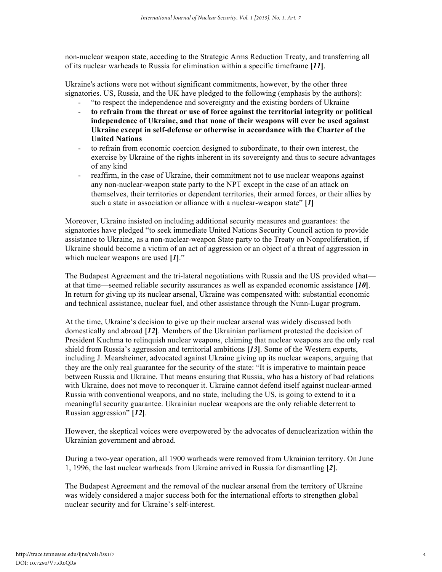non-nuclear weapon state, acceding to the Strategic Arms Reduction Treaty, and transferring all of its nuclear warheads to Russia for elimination within a specific timeframe **[***11***]**.

Ukraine's actions were not without significant commitments, however, by the other three signatories. US, Russia, and the UK have pledged to the following (emphasis by the authors):

- "to respect the independence and sovereignty and the existing borders of Ukraine
- **to refrain from the threat or use of force against the territorial integrity or political independence of Ukraine, and that none of their weapons will ever be used against Ukraine except in self-defense or otherwise in accordance with the Charter of the United Nations**
- to refrain from economic coercion designed to subordinate, to their own interest, the exercise by Ukraine of the rights inherent in its sovereignty and thus to secure advantages of any kind
- reaffirm, in the case of Ukraine, their commitment not to use nuclear weapons against any non-nuclear-weapon state party to the NPT except in the case of an attack on themselves, their territories or dependent territories, their armed forces, or their allies by such a state in association or alliance with a nuclear-weapon state" **[***1***]**

Moreover, Ukraine insisted on including additional security measures and guarantees: the signatories have pledged "to seek immediate United Nations Security Council action to provide assistance to Ukraine, as a non-nuclear-weapon State party to the Treaty on Nonproliferation, if Ukraine should become a victim of an act of aggression or an object of a threat of aggression in which nuclear weapons are used **[***1***]**."

The Budapest Agreement and the tri-lateral negotiations with Russia and the US provided what at that time—seemed reliable security assurances as well as expanded economic assistance **[***10***]**. In return for giving up its nuclear arsenal, Ukraine was compensated with: substantial economic and technical assistance, nuclear fuel, and other assistance through the Nunn-Lugar program.

At the time, Ukraine's decision to give up their nuclear arsenal was widely discussed both domestically and abroad **[***12***]**. Members of the Ukrainian parliament protested the decision of President Kuchma to relinquish nuclear weapons, claiming that nuclear weapons are the only real shield from Russia's aggression and territorial ambitions **[***13***]**. Some of the Western experts, including J. Mearsheimer, advocated against Ukraine giving up its nuclear weapons, arguing that they are the only real guarantee for the security of the state: "It is imperative to maintain peace between Russia and Ukraine. That means ensuring that Russia, who has a history of bad relations with Ukraine, does not move to reconquer it. Ukraine cannot defend itself against nuclear-armed Russia with conventional weapons, and no state, including the US, is going to extend to it a meaningful security guarantee. Ukrainian nuclear weapons are the only reliable deterrent to Russian aggression" **[***12***]**.

However, the skeptical voices were overpowered by the advocates of denuclearization within the Ukrainian government and abroad.

During a two-year operation, all 1900 warheads were removed from Ukrainian territory. On June 1, 1996, the last nuclear warheads from Ukraine arrived in Russia for dismantling **[***2***]**.

The Budapest Agreement and the removal of the nuclear arsenal from the territory of Ukraine was widely considered a major success both for the international efforts to strengthen global nuclear security and for Ukraine's self-interest.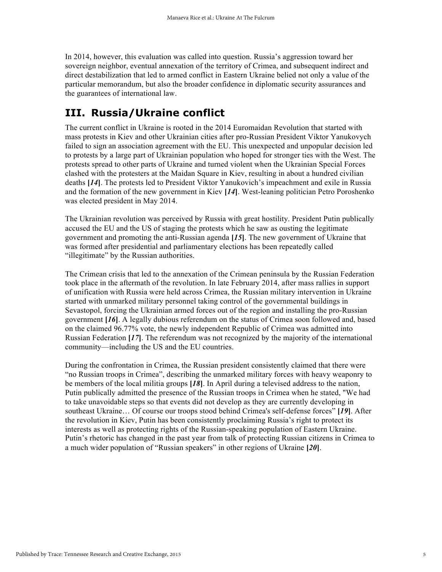In 2014, however, this evaluation was called into question. Russia's aggression toward her sovereign neighbor, eventual annexation of the territory of Crimea, and subsequent indirect and direct destabilization that led to armed conflict in Eastern Ukraine belied not only a value of the particular memorandum, but also the broader confidence in diplomatic security assurances and the guarantees of international law.

#### **III. Russia/Ukraine conflict**

The current conflict in Ukraine is rooted in the 2014 Euromaidan Revolution that started with mass protests in Kiev and other Ukrainian cities after pro-Russian President Viktor Yanukovych failed to sign an association agreement with the EU. This unexpected and unpopular decision led to protests by a large part of Ukrainian population who hoped for stronger ties with the West. The protests spread to other parts of Ukraine and turned violent when the Ukrainian Special Forces clashed with the protesters at the Maidan Square in Kiev, resulting in about a hundred civilian deaths **[***14***]**. The protests led to President Viktor Yanukovich's impeachment and exile in Russia and the formation of the new government in Kiev **[***14***]**. West-leaning politician Petro Poroshenko was elected president in May 2014.

The Ukrainian revolution was perceived by Russia with great hostility. President Putin publically accused the EU and the US of staging the protests which he saw as ousting the legitimate government and promoting the anti-Russian agenda **[***15***]**. The new government of Ukraine that was formed after presidential and parliamentary elections has been repeatedly called "illegitimate" by the Russian authorities.

The Crimean crisis that led to the annexation of the Crimean peninsula by the Russian Federation took place in the aftermath of the revolution. In late February 2014, after mass rallies in support of unification with Russia were held across Crimea, the Russian military intervention in Ukraine started with unmarked military personnel taking control of the governmental buildings in Sevastopol, forcing the Ukrainian armed forces out of the region and installing the pro-Russian government **[***16***]**. A legally dubious referendum on the status of Crimea soon followed and, based on the claimed 96.77% vote, the newly independent Republic of Crimea was admitted into Russian Federation **[***17***]**. The referendum was not recognized by the majority of the international community—including the US and the EU countries.

During the confrontation in Crimea, the Russian president consistently claimed that there were "no Russian troops in Crimea", describing the unmarked military forces with heavy weaponry to be members of the local militia groups **[***18***]**. In April during a televised address to the nation, Putin publically admitted the presence of the Russian troops in Crimea when he stated, "We had to take unavoidable steps so that events did not develop as they are currently developing in southeast Ukraine… Of course our troops stood behind Crimea's self-defense forces" **[***19***]**. After the revolution in Kiev, Putin has been consistently proclaiming Russia's right to protect its interests as well as protecting rights of the Russian-speaking population of Eastern Ukraine. Putin's rhetoric has changed in the past year from talk of protecting Russian citizens in Crimea to a much wider population of "Russian speakers" in other regions of Ukraine **[***20***]**.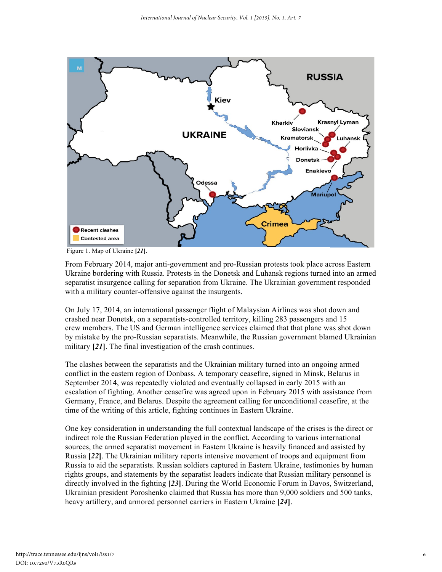

Figure 1. Map of Ukraine **[***21***]**.

From February 2014, major anti-government and pro-Russian protests took place across Eastern Ukraine bordering with Russia. Protests in the Donetsk and Luhansk regions turned into an armed separatist insurgence calling for separation from Ukraine. The Ukrainian government responded with a military counter-offensive against the insurgents.

On July 17, 2014, an international passenger flight of Malaysian Airlines was shot down and crashed near Donetsk, on a separatists-controlled territory, killing 283 passengers and 15 crew members. The US and German intelligence services claimed that that plane was shot down by mistake by the pro-Russian separatists. Meanwhile, the Russian government blamed Ukrainian military **[***21***]**. The final investigation of the crash continues.

The clashes between the separatists and the Ukrainian military turned into an ongoing armed conflict in the eastern region of Donbass. A temporary ceasefire, signed in Minsk, Belarus in September 2014, was repeatedly violated and eventually collapsed in early 2015 with an escalation of fighting. Another ceasefire was agreed upon in February 2015 with assistance from Germany, France, and Belarus. Despite the agreement calling for unconditional ceasefire, at the time of the writing of this article, fighting continues in Eastern Ukraine.

One key consideration in understanding the full contextual landscape of the crises is the direct or indirect role the Russian Federation played in the conflict. According to various international sources, the armed separatist movement in Eastern Ukraine is heavily financed and assisted by Russia **[***22***]**. The Ukrainian military reports intensive movement of troops and equipment from Russia to aid the separatists. Russian soldiers captured in Eastern Ukraine, testimonies by human rights groups, and statements by the separatist leaders indicate that Russian military personnel is directly involved in the fighting **[***23***]**. During the World Economic Forum in Davos, Switzerland, Ukrainian president Poroshenko claimed that Russia has more than 9,000 soldiers and 500 tanks, heavy artillery, and armored personnel carriers in Eastern Ukraine **[***24***]**.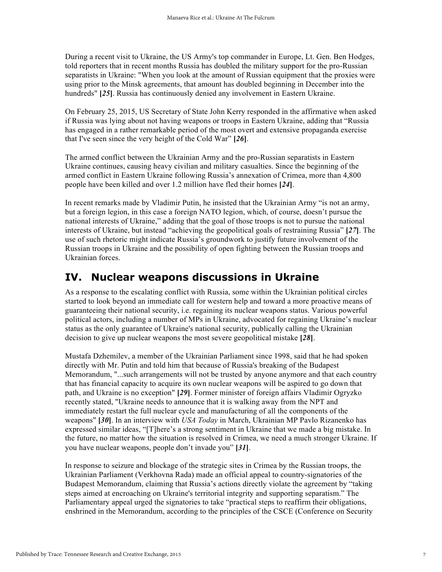During a recent visit to Ukraine, the US Army's top commander in Europe, Lt. Gen. Ben Hodges, told reporters that in recent months Russia has doubled the military support for the pro-Russian separatists in Ukraine: "When you look at the amount of Russian equipment that the proxies were using prior to the Minsk agreements, that amount has doubled beginning in December into the hundreds" **[***25***]**. Russia has continuously denied any involvement in Eastern Ukraine.

On February 25, 2015, US Secretary of State John Kerry responded in the affirmative when asked if Russia was lying about not having weapons or troops in Eastern Ukraine, adding that "Russia has engaged in a rather remarkable period of the most overt and extensive propaganda exercise that I've seen since the very height of the Cold War" **[***26***]**.

The armed conflict between the Ukrainian Army and the pro-Russian separatists in Eastern Ukraine continues, causing heavy civilian and military casualties. Since the beginning of the armed conflict in Eastern Ukraine following Russia's annexation of Crimea, more than 4,800 people have been killed and over 1.2 million have fled their homes **[***24***]**.

In recent remarks made by Vladimir Putin, he insisted that the Ukrainian Army "is not an army, but a foreign legion, in this case a foreign NATO legion, which, of course, doesn't pursue the national interests of Ukraine," adding that the goal of those troops is not to pursue the national interests of Ukraine, but instead "achieving the geopolitical goals of restraining Russia" **[***27***]**. The use of such rhetoric might indicate Russia's groundwork to justify future involvement of the Russian troops in Ukraine and the possibility of open fighting between the Russian troops and Ukrainian forces.

#### **IV. Nuclear weapons discussions in Ukraine**

As a response to the escalating conflict with Russia, some within the Ukrainian political circles started to look beyond an immediate call for western help and toward a more proactive means of guaranteeing their national security, i.e. regaining its nuclear weapons status. Various powerful political actors, including a number of MPs in Ukraine, advocated for regaining Ukraine's nuclear status as the only guarantee of Ukraine's national security, publically calling the Ukrainian decision to give up nuclear weapons the most severe geopolitical mistake **[***28***]**.

Mustafa Dzhemilev, a member of the Ukrainian Parliament since 1998, said that he had spoken directly with Mr. Putin and told him that because of Russia's breaking of the Budapest Memorandum, "...such arrangements will not be trusted by anyone anymore and that each country that has financial capacity to acquire its own nuclear weapons will be aspired to go down that path, and Ukraine is no exception" **[***29***]**. Former minister of foreign affairs Vladimir Ogryzko recently stated, "Ukraine needs to announce that it is walking away from the NPT and immediately restart the full nuclear cycle and manufacturing of all the components of the weapons" **[***30***]**. In an interview with *USA Today* in March, Ukrainian MP Pavlo Rizanenko has expressed similar ideas, "[T]here's a strong sentiment in Ukraine that we made a big mistake. In the future, no matter how the situation is resolved in Crimea, we need a much stronger Ukraine. If you have nuclear weapons, people don't invade you" **[***31***]**.

In response to seizure and blockage of the strategic sites in Crimea by the Russian troops, the Ukrainian Parliament (Verkhovna Rada) made an official appeal to country-signatories of the Budapest Memorandum, claiming that Russia's actions directly violate the agreement by "taking steps aimed at encroaching on Ukraine's territorial integrity and supporting separatism." The Parliamentary appeal urged the signatories to take "practical steps to reaffirm their obligations, enshrined in the Memorandum, according to the principles of the CSCE (Conference on Security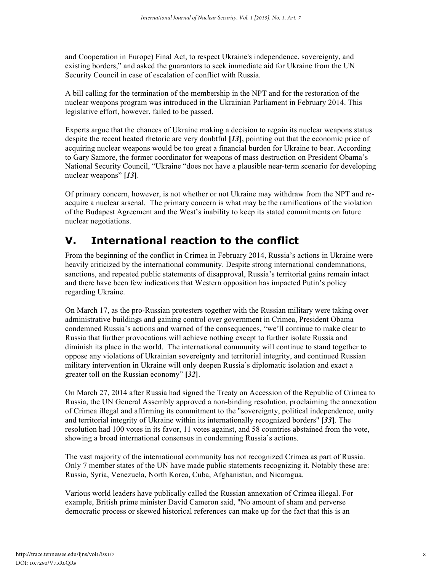and Cooperation in Europe) Final Act, to respect Ukraine's independence, sovereignty, and existing borders," and asked the guarantors to seek immediate aid for Ukraine from the UN Security Council in case of escalation of conflict with Russia.

A bill calling for the termination of the membership in the NPT and for the restoration of the nuclear weapons program was introduced in the Ukrainian Parliament in February 2014. This legislative effort, however, failed to be passed.

Experts argue that the chances of Ukraine making a decision to regain its nuclear weapons status despite the recent heated rhetoric are very doubtful **[***13***]**, pointing out that the economic price of acquiring nuclear weapons would be too great a financial burden for Ukraine to bear. According to Gary Samore, the former coordinator for weapons of mass destruction on President Obama's National Security Council, "Ukraine "does not have a plausible near-term scenario for developing nuclear weapons" **[***13***]**.

Of primary concern, however, is not whether or not Ukraine may withdraw from the NPT and reacquire a nuclear arsenal. The primary concern is what may be the ramifications of the violation of the Budapest Agreement and the West's inability to keep its stated commitments on future nuclear negotiations.

#### **V. International reaction to the conflict**

From the beginning of the conflict in Crimea in February 2014, Russia's actions in Ukraine were heavily criticized by the international community. Despite strong international condemnations, sanctions, and repeated public statements of disapproval, Russia's territorial gains remain intact and there have been few indications that Western opposition has impacted Putin's policy regarding Ukraine.

On March 17, as the pro-Russian protesters together with the Russian military were taking over administrative buildings and gaining control over government in Crimea, President Obama condemned Russia's actions and warned of the consequences, "we'll continue to make clear to Russia that further provocations will achieve nothing except to further isolate Russia and diminish its place in the world. The international community will continue to stand together to oppose any violations of Ukrainian sovereignty and territorial integrity, and continued Russian military intervention in Ukraine will only deepen Russia's diplomatic isolation and exact a greater toll on the Russian economy" **[***32***]**.

On March 27, 2014 after Russia had signed the Treaty on Accession of the Republic of Crimea to Russia, the UN General Assembly approved a non-binding resolution, proclaiming the annexation of Crimea illegal and affirming its commitment to the "sovereignty, political independence, unity and territorial integrity of Ukraine within its internationally recognized borders" **[***33***]**. The resolution had 100 votes in its favor, 11 votes against, and 58 countries abstained from the vote, showing a broad international consensus in condemning Russia's actions.

The vast majority of the international community has not recognized Crimea as part of Russia. Only 7 member states of the UN have made public statements recognizing it. Notably these are: Russia, Syria, Venezuela, North Korea, Cuba, Afghanistan, and Nicaragua.

Various world leaders have publically called the Russian annexation of Crimea illegal. For example, British prime minister David Cameron said, "No amount of sham and perverse democratic process or skewed historical references can make up for the fact that this is an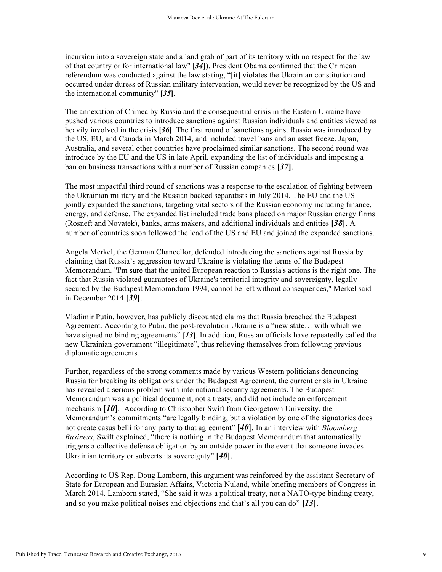incursion into a sovereign state and a land grab of part of its territory with no respect for the law of that country or for international law" **[***34***]**). President Obama confirmed that the Crimean referendum was conducted against the law stating, "[it] violates the Ukrainian constitution and occurred under duress of Russian military intervention, would never be recognized by the US and the international community" **[***35***]**.

The annexation of Crimea by Russia and the consequential crisis in the Eastern Ukraine have pushed various countries to introduce sanctions against Russian individuals and entities viewed as heavily involved in the crisis **[***36***]**. The first round of sanctions against Russia was introduced by the US, EU, and Canada in March 2014, and included travel bans and an asset freeze. Japan, Australia, and several other countries have proclaimed similar sanctions. The second round was introduce by the EU and the US in late April, expanding the list of individuals and imposing a ban on business transactions with a number of Russian companies **[***37***]**.

The most impactful third round of sanctions was a response to the escalation of fighting between the Ukrainian military and the Russian backed separatists in July 2014. The EU and the US jointly expanded the sanctions, targeting vital sectors of the Russian economy including finance, energy, and defense. The expanded list included trade bans placed on major Russian energy firms (Rosneft and Novatek), banks, arms makers, and additional individuals and entities **[***38***]**. A number of countries soon followed the lead of the US and EU and joined the expanded sanctions.

Angela Merkel, the German Chancellor, defended introducing the sanctions against Russia by claiming that Russia's aggression toward Ukraine is violating the terms of the Budapest Memorandum. "I'm sure that the united European reaction to Russia's actions is the right one. The fact that Russia violated guarantees of Ukraine's territorial integrity and sovereignty, legally secured by the Budapest Memorandum 1994, cannot be left without consequences," Merkel said in December 2014 **[***39***]**.

Vladimir Putin, however, has publicly discounted claims that Russia breached the Budapest Agreement. According to Putin, the post-revolution Ukraine is a "new state… with which we have signed no binding agreements" **[***13***]**. In addition, Russian officials have repeatedly called the new Ukrainian government "illegitimate", thus relieving themselves from following previous diplomatic agreements.

Further, regardless of the strong comments made by various Western politicians denouncing Russia for breaking its obligations under the Budapest Agreement, the current crisis in Ukraine has revealed a serious problem with international security agreements. The Budapest Memorandum was a political document, not a treaty, and did not include an enforcement mechanism **[***10***]**. According to Christopher Swift from Georgetown University, the Memorandum's commitments "are legally binding, but a violation by one of the signatories does not create casus belli for any party to that agreement" **[***40***]**. In an interview with *Bloomberg Business*, Swift explained, "there is nothing in the Budapest Memorandum that automatically triggers a collective defense obligation by an outside power in the event that someone invades Ukrainian territory or subverts its sovereignty" **[***40***]**.

According to US Rep. Doug Lamborn, this argument was reinforced by the assistant Secretary of State for European and Eurasian Affairs, Victoria Nuland, while briefing members of Congress in March 2014. Lamborn stated, "She said it was a political treaty, not a NATO-type binding treaty, and so you make political noises and objections and that's all you can do" **[***13***]**.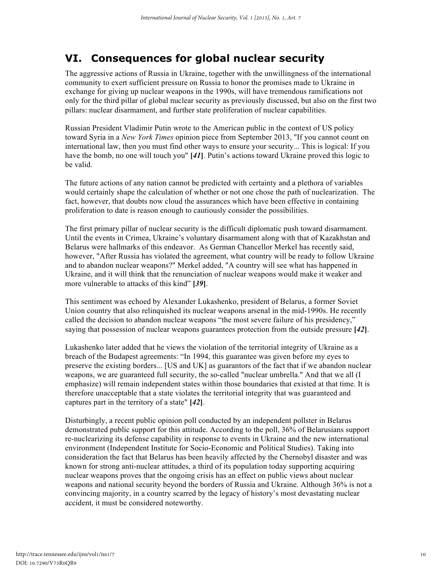### **VI. Consequences for global nuclear security**

The aggressive actions of Russia in Ukraine, together with the unwillingness of the international community to exert sufficient pressure on Russia to honor the promises made to Ukraine in exchange for giving up nuclear weapons in the 1990s, will have tremendous ramifications not only for the third pillar of global nuclear security as previously discussed, but also on the first two pillars: nuclear disarmament, and further state proliferation of nuclear capabilities.

Russian President Vladimir Putin wrote to the American public in the context of US policy toward Syria in a *New York Times* opinion piece from September 2013, "If you cannot count on international law, then you must find other ways to ensure your security... This is logical: If you have the bomb, no one will touch you" **[***41***]**. Putin's actions toward Ukraine proved this logic to be valid.

The future actions of any nation cannot be predicted with certainty and a plethora of variables would certainly shape the calculation of whether or not one chose the path of nuclearization. The fact, however, that doubts now cloud the assurances which have been effective in containing proliferation to date is reason enough to cautiously consider the possibilities.

The first primary pillar of nuclear security is the difficult diplomatic push toward disarmament. Until the events in Crimea, Ukraine's voluntary disarmament along with that of Kazakhstan and Belarus were hallmarks of this endeavor. As German Chancellor Merkel has recently said, however, "After Russia has violated the agreement, what country will be ready to follow Ukraine and to abandon nuclear weapons?" Merkel added, "A country will see what has happened in Ukraine, and it will think that the renunciation of nuclear weapons would make it weaker and more vulnerable to attacks of this kind" **[***39***]**.

This sentiment was echoed by Alexander Lukashenko, president of Belarus, a former Soviet Union country that also relinquished its nuclear weapons arsenal in the mid-1990s. He recently called the decision to abandon nuclear weapons "the most severe failure of his presidency," saying that possession of nuclear weapons guarantees protection from the outside pressure **[***42***]**.

Lukashenko later added that he views the violation of the territorial integrity of Ukraine as a breach of the Budapest agreements: "In 1994, this guarantee was given before my eyes to preserve the existing borders... [US and UK] as guarantors of the fact that if we abandon nuclear weapons, we are guaranteed full security, the so-called "nuclear umbrella." And that we all (I emphasize) will remain independent states within those boundaries that existed at that time. It is therefore unacceptable that a state violates the territorial integrity that was guaranteed and captures part in the territory of a state" **[***42***]**.

Disturbingly, a recent public opinion poll conducted by an independent pollster in Belarus demonstrated public support for this attitude. According to the poll, 36% of Belarusians support re-nuclearizing its defense capability in response to events in Ukraine and the new international environment (Independent Institute for Socio-Economic and Political Studies). Taking into consideration the fact that Belarus has been heavily affected by the Chernobyl disaster and was known for strong anti-nuclear attitudes, a third of its population today supporting acquiring nuclear weapons proves that the ongoing crisis has an effect on public views about nuclear weapons and national security beyond the borders of Russia and Ukraine. Although 36% is not a convincing majority, in a country scarred by the legacy of history's most devastating nuclear accident, it must be considered noteworthy.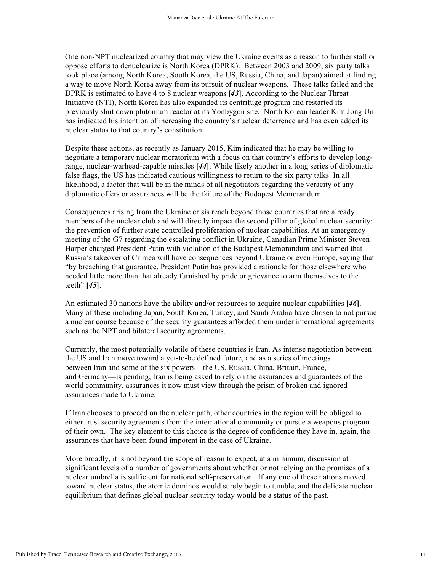One non-NPT nuclearized country that may view the Ukraine events as a reason to further stall or oppose efforts to denuclearize is North Korea (DPRK). Between 2003 and 2009, six party talks took place (among North Korea, South Korea, the US, Russia, China, and Japan) aimed at finding a way to move North Korea away from its pursuit of nuclear weapons. These talks failed and the DPRK is estimated to have 4 to 8 nuclear weapons **[***43***]**. According to the Nuclear Threat Initiative (NTI), North Korea has also expanded its centrifuge program and restarted its previously shut down plutonium reactor at its Yonbygon site. North Korean leader Kim Jong Un has indicated his intention of increasing the country's nuclear deterrence and has even added its nuclear status to that country's constitution.

Despite these actions, as recently as January 2015, Kim indicated that he may be willing to negotiate a temporary nuclear moratorium with a focus on that country's efforts to develop longrange, nuclear-warhead-capable missiles **[***44***]**. While likely another in a long series of diplomatic false flags, the US has indicated cautious willingness to return to the six party talks. In all likelihood, a factor that will be in the minds of all negotiators regarding the veracity of any diplomatic offers or assurances will be the failure of the Budapest Memorandum.

Consequences arising from the Ukraine crisis reach beyond those countries that are already members of the nuclear club and will directly impact the second pillar of global nuclear security: the prevention of further state controlled proliferation of nuclear capabilities. At an emergency meeting of the G7 regarding the escalating conflict in Ukraine, Canadian Prime Minister Steven Harper charged President Putin with violation of the Budapest Memorandum and warned that Russia's takeover of Crimea will have consequences beyond Ukraine or even Europe, saying that "by breaching that guarantee, President Putin has provided a rationale for those elsewhere who needed little more than that already furnished by pride or grievance to arm themselves to the teeth" **[***45***]**.

An estimated 30 nations have the ability and/or resources to acquire nuclear capabilities **[***46***]**. Many of these including Japan, South Korea, Turkey, and Saudi Arabia have chosen to not pursue a nuclear course because of the security guarantees afforded them under international agreements such as the NPT and bilateral security agreements.

Currently, the most potentially volatile of these countries is Iran. As intense negotiation between the US and Iran move toward a yet-to-be defined future, and as a series of meetings between Iran and some of the six powers—the US, Russia, China, Britain, France, and Germany—is pending, Iran is being asked to rely on the assurances and guarantees of the world community, assurances it now must view through the prism of broken and ignored assurances made to Ukraine.

If Iran chooses to proceed on the nuclear path, other countries in the region will be obliged to either trust security agreements from the international community or pursue a weapons program of their own. The key element to this choice is the degree of confidence they have in, again, the assurances that have been found impotent in the case of Ukraine.

More broadly, it is not beyond the scope of reason to expect, at a minimum, discussion at significant levels of a number of governments about whether or not relying on the promises of a nuclear umbrella is sufficient for national self-preservation. If any one of these nations moved toward nuclear status, the atomic dominos would surely begin to tumble, and the delicate nuclear equilibrium that defines global nuclear security today would be a status of the past.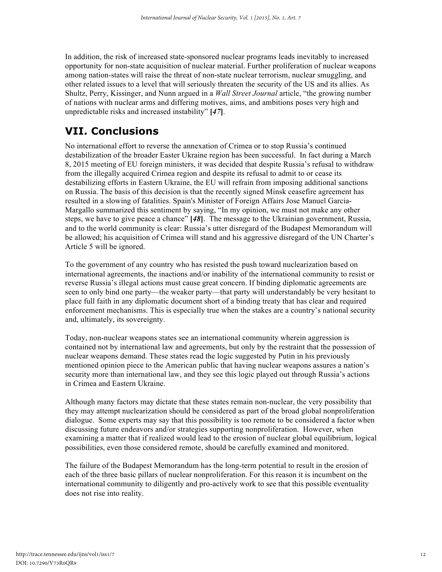In addition, the risk of increased state-sponsored nuclear programs leads inevitably to increased opportunity for non-state acquisition of nuclear material. Further proliferation of nuclear weapons among nation-states will raise the threat of non-state nuclear terrorism, nuclear smuggling, and other related issues to a level that will seriously threaten the security of the US and its allies. As Shultz, Perry, Kissinger, and Nunn argued in a *Wall Street Journal* article, "the growing number of nations with nuclear arms and differing motives, aims, and ambitions poses very high and unpredictable risks and increased instability" **[***47***]**.

### **VII. Conclusions**

No international effort to reverse the annexation of Crimea or to stop Russia's continued destabilization of the broader Easter Ukraine region has been successful. In fact during a March 8, 2015 meeting of EU foreign ministers, it was decided that despite Russia's refusal to withdraw from the illegally acquired Crimea region and despite its refusal to admit to or cease its destabilizing efforts in Eastern Ukraine, the EU will refrain from imposing additional sanctions on Russia. The basis of this decision is that the recently signed Minsk ceasefire agreement has resulted in a slowing of fatalities. Spain's Minister of Foreign Affairs Jose Manuel Garcia-Margallo summarized this sentiment by saying, "In my opinion, we must not make any other steps, we have to give peace a chance" **[***48***]**. The message to the Ukrainian government, Russia, and to the world community is clear: Russia's utter disregard of the Budapest Memorandum will be allowed; his acquisition of Crimea will stand and his aggressive disregard of the UN Charter's Article 5 will be ignored.

To the government of any country who has resisted the push toward nuclearization based on international agreements, the inactions and/or inability of the international community to resist or reverse Russia's illegal actions must cause great concern. If binding diplomatic agreements are seen to only bind one party—the weaker party—that party will understandably be very hesitant to place full faith in any diplomatic document short of a binding treaty that has clear and required enforcement mechanisms. This is especially true when the stakes are a country's national security and, ultimately, its sovereignty.

Today, non-nuclear weapons states see an international community wherein aggression is contained not by international law and agreements, but only by the restraint that the possession of nuclear weapons demand. These states read the logic suggested by Putin in his previously mentioned opinion piece to the American public that having nuclear weapons assures a nation's security more than international law, and they see this logic played out through Russia's actions in Crimea and Eastern Ukraine.

Although many factors may dictate that these states remain non-nuclear, the very possibility that they may attempt nuclearization should be considered as part of the broad global nonproliferation dialogue. Some experts may say that this possibility is too remote to be considered a factor when discussing future endeavors and/or strategies supporting nonproliferation. However, when examining a matter that if realized would lead to the erosion of nuclear global equilibrium, logical possibilities, even those considered remote, should be carefully examined and monitored.

The failure of the Budapest Memorandum has the long-term potential to result in the erosion of each of the three basic pillars of nuclear nonproliferation. For this reason it is incumbent on the international community to diligently and pro-actively work to see that this possible eventuality does not rise into reality.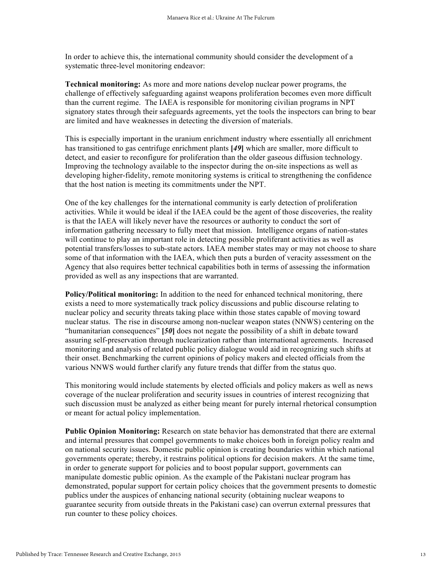In order to achieve this, the international community should consider the development of a systematic three-level monitoring endeavor:

**Technical monitoring:** As more and more nations develop nuclear power programs, the challenge of effectively safeguarding against weapons proliferation becomes even more difficult than the current regime. The IAEA is responsible for monitoring civilian programs in NPT signatory states through their safeguards agreements, yet the tools the inspectors can bring to bear are limited and have weaknesses in detecting the diversion of materials.

This is especially important in the uranium enrichment industry where essentially all enrichment has transitioned to gas centrifuge enrichment plants **[***49***]** which are smaller, more difficult to detect, and easier to reconfigure for proliferation than the older gaseous diffusion technology. Improving the technology available to the inspector during the on-site inspections as well as developing higher-fidelity, remote monitoring systems is critical to strengthening the confidence that the host nation is meeting its commitments under the NPT.

One of the key challenges for the international community is early detection of proliferation activities. While it would be ideal if the IAEA could be the agent of those discoveries, the reality is that the IAEA will likely never have the resources or authority to conduct the sort of information gathering necessary to fully meet that mission. Intelligence organs of nation-states will continue to play an important role in detecting possible proliferant activities as well as potential transfers/losses to sub-state actors. IAEA member states may or may not choose to share some of that information with the IAEA, which then puts a burden of veracity assessment on the Agency that also requires better technical capabilities both in terms of assessing the information provided as well as any inspections that are warranted.

**Policy/Political monitoring:** In addition to the need for enhanced technical monitoring, there exists a need to more systematically track policy discussions and public discourse relating to nuclear policy and security threats taking place within those states capable of moving toward nuclear status. The rise in discourse among non-nuclear weapon states (NNWS) centering on the "humanitarian consequences" **[***50***]** does not negate the possibility of a shift in debate toward assuring self-preservation through nuclearization rather than international agreements. Increased monitoring and analysis of related public policy dialogue would aid in recognizing such shifts at their onset. Benchmarking the current opinions of policy makers and elected officials from the various NNWS would further clarify any future trends that differ from the status quo.

This monitoring would include statements by elected officials and policy makers as well as news coverage of the nuclear proliferation and security issues in countries of interest recognizing that such discussion must be analyzed as either being meant for purely internal rhetorical consumption or meant for actual policy implementation.

**Public Opinion Monitoring:** Research on state behavior has demonstrated that there are external and internal pressures that compel governments to make choices both in foreign policy realm and on national security issues. Domestic public opinion is creating boundaries within which national governments operate; thereby, it restrains political options for decision makers. At the same time, in order to generate support for policies and to boost popular support, governments can manipulate domestic public opinion. As the example of the Pakistani nuclear program has demonstrated, popular support for certain policy choices that the government presents to domestic publics under the auspices of enhancing national security (obtaining nuclear weapons to guarantee security from outside threats in the Pakistani case) can overrun external pressures that run counter to these policy choices.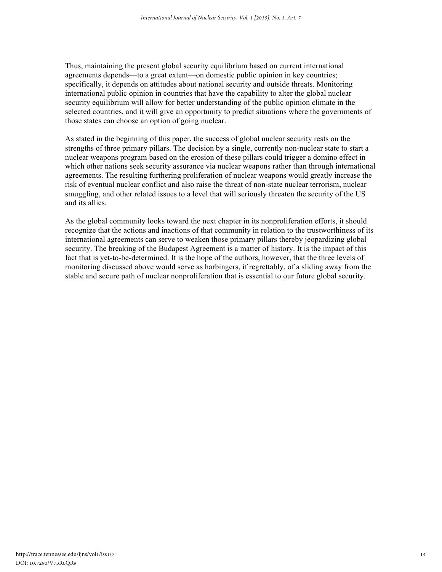Thus, maintaining the present global security equilibrium based on current international agreements depends—to a great extent—on domestic public opinion in key countries; specifically, it depends on attitudes about national security and outside threats. Monitoring international public opinion in countries that have the capability to alter the global nuclear security equilibrium will allow for better understanding of the public opinion climate in the selected countries, and it will give an opportunity to predict situations where the governments of those states can choose an option of going nuclear.

As stated in the beginning of this paper, the success of global nuclear security rests on the strengths of three primary pillars. The decision by a single, currently non-nuclear state to start a nuclear weapons program based on the erosion of these pillars could trigger a domino effect in which other nations seek security assurance via nuclear weapons rather than through international agreements. The resulting furthering proliferation of nuclear weapons would greatly increase the risk of eventual nuclear conflict and also raise the threat of non-state nuclear terrorism, nuclear smuggling, and other related issues to a level that will seriously threaten the security of the US and its allies.

As the global community looks toward the next chapter in its nonproliferation efforts, it should recognize that the actions and inactions of that community in relation to the trustworthiness of its international agreements can serve to weaken those primary pillars thereby jeopardizing global security. The breaking of the Budapest Agreement is a matter of history. It is the impact of this fact that is yet-to-be-determined. It is the hope of the authors, however, that the three levels of monitoring discussed above would serve as harbingers, if regrettably, of a sliding away from the stable and secure path of nuclear nonproliferation that is essential to our future global security.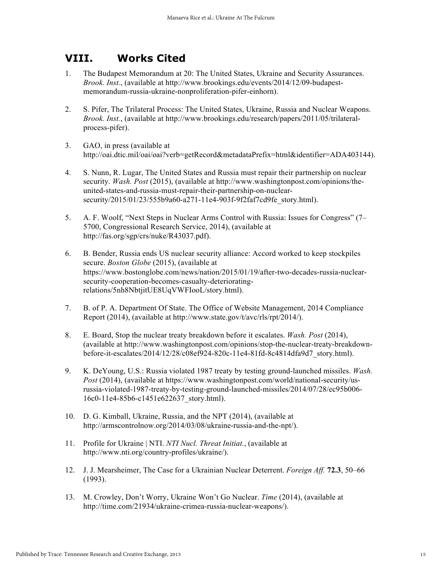#### **VIII. Works Cited**

- 1. The Budapest Memorandum at 20: The United States, Ukraine and Security Assurances. *Brook. Inst.*, (available at http://www.brookings.edu/events/2014/12/09-budapestmemorandum-russia-ukraine-nonproliferation-pifer-einhorn).
- 2. S. Pifer, The Trilateral Process: The United States, Ukraine, Russia and Nuclear Weapons. *Brook. Inst.*, (available at http://www.brookings.edu/research/papers/2011/05/trilateralprocess-pifer).
- 3. GAO, in press (available at http://oai.dtic.mil/oai/oai?verb=getRecord&metadataPrefix=html&identifier=ADA403144).
- 4. S. Nunn, R. Lugar, The United States and Russia must repair their partnership on nuclear security. *Wash. Post* (2015), (available at http://www.washingtonpost.com/opinions/theunited-states-and-russia-must-repair-their-partnership-on-nuclearsecurity/2015/01/23/555b9a60-a271-11e4-903f-9f2faf7cd9fe\_story.html).
- 5. A. F. Woolf, "Next Steps in Nuclear Arms Control with Russia: Issues for Congress" (7– 5700, Congressional Research Service, 2014), (available at http://fas.org/sgp/crs/nuke/R43037.pdf).
- 6. B. Bender, Russia ends US nuclear security alliance: Accord worked to keep stockpiles secure. *Boston Globe* (2015), (available at https://www.bostonglobe.com/news/nation/2015/01/19/after-two-decades-russia-nuclearsecurity-cooperation-becomes-casualty-deterioratingrelations/5nh8NbtjitUE8UqVWFIooL/story.html).
- 7. B. of P. A. Department Of State. The Office of Website Management, 2014 Compliance Report (2014), (available at http://www.state.gov/t/avc/rls/rpt/2014/).
- 8. E. Board, Stop the nuclear treaty breakdown before it escalates. *Wash. Post* (2014), (available at http://www.washingtonpost.com/opinions/stop-the-nuclear-treaty-breakdownbefore-it-escalates/2014/12/28/c08ef924-820c-11e4-81fd-8c4814dfa9d7\_story.html).
- 9. K. DeYoung, U.S.: Russia violated 1987 treaty by testing ground-launched missiles. *Wash. Post* (2014), (available at https://www.washingtonpost.com/world/national-security/usrussia-violated-1987-treaty-by-testing-ground-launched-missiles/2014/07/28/ec95b006- 16c0-11e4-85b6-c1451e622637\_story.html).
- 10. D. G. Kimball, Ukraine, Russia, and the NPT (2014), (available at http://armscontrolnow.org/2014/03/08/ukraine-russia-and-the-npt/).
- 11. Profile for Ukraine | NTI. *NTI Nucl. Threat Initiat.*, (available at http://www.nti.org/country-profiles/ukraine/).
- 12. J. J. Mearsheimer, The Case for a Ukrainian Nuclear Deterrent. *Foreign Aff.* **72.3**, 50–66 (1993).
- 13. M. Crowley, Don't Worry, Ukraine Won't Go Nuclear. *Time* (2014), (available at http://time.com/21934/ukraine-crimea-russia-nuclear-weapons/).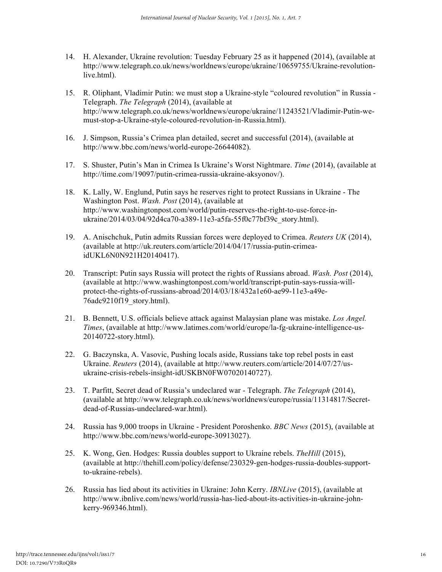- 14. H. Alexander, Ukraine revolution: Tuesday February 25 as it happened (2014), (available at http://www.telegraph.co.uk/news/worldnews/europe/ukraine/10659755/Ukraine-revolutionlive.html).
- 15. R. Oliphant, Vladimir Putin: we must stop a Ukraine-style "coloured revolution" in Russia Telegraph. *The Telegraph* (2014), (available at http://www.telegraph.co.uk/news/worldnews/europe/ukraine/11243521/Vladimir-Putin-wemust-stop-a-Ukraine-style-coloured-revolution-in-Russia.html).
- 16. J. Simpson, Russia's Crimea plan detailed, secret and successful (2014), (available at http://www.bbc.com/news/world-europe-26644082).
- 17. S. Shuster, Putin's Man in Crimea Is Ukraine's Worst Nightmare. *Time* (2014), (available at http://time.com/19097/putin-crimea-russia-ukraine-aksyonov/).
- 18. K. Lally, W. Englund, Putin says he reserves right to protect Russians in Ukraine The Washington Post. *Wash. Post* (2014), (available at http://www.washingtonpost.com/world/putin-reserves-the-right-to-use-force-inukraine/2014/03/04/92d4ca70-a389-11e3-a5fa-55f0c77bf39c\_story.html).
- 19. A. Anischchuk, Putin admits Russian forces were deployed to Crimea. *Reuters UK* (2014), (available at http://uk.reuters.com/article/2014/04/17/russia-putin-crimeaidUKL6N0N921H20140417).
- 20. Transcript: Putin says Russia will protect the rights of Russians abroad. *Wash. Post* (2014), (available at http://www.washingtonpost.com/world/transcript-putin-says-russia-willprotect-the-rights-of-russians-abroad/2014/03/18/432a1e60-ae99-11e3-a49e-76adc9210f19\_story.html).
- 21. B. Bennett, U.S. officials believe attack against Malaysian plane was mistake. *Los Angel. Times*, (available at http://www.latimes.com/world/europe/la-fg-ukraine-intelligence-us-20140722-story.html).
- 22. G. Baczynska, A. Vasovic, Pushing locals aside, Russians take top rebel posts in east Ukraine. *Reuters* (2014), (available at http://www.reuters.com/article/2014/07/27/usukraine-crisis-rebels-insight-idUSKBN0FW07020140727).
- 23. T. Parfitt, Secret dead of Russia's undeclared war Telegraph. *The Telegraph* (2014), (available at http://www.telegraph.co.uk/news/worldnews/europe/russia/11314817/Secretdead-of-Russias-undeclared-war.html).
- 24. Russia has 9,000 troops in Ukraine President Poroshenko. *BBC News* (2015), (available at http://www.bbc.com/news/world-europe-30913027).
- 25. K. Wong, Gen. Hodges: Russia doubles support to Ukraine rebels. *TheHill* (2015), (available at http://thehill.com/policy/defense/230329-gen-hodges-russia-doubles-supportto-ukraine-rebels).
- 26. Russia has lied about its activities in Ukraine: John Kerry. *IBNLive* (2015), (available at http://www.ibnlive.com/news/world/russia-has-lied-about-its-activities-in-ukraine-johnkerry-969346.html).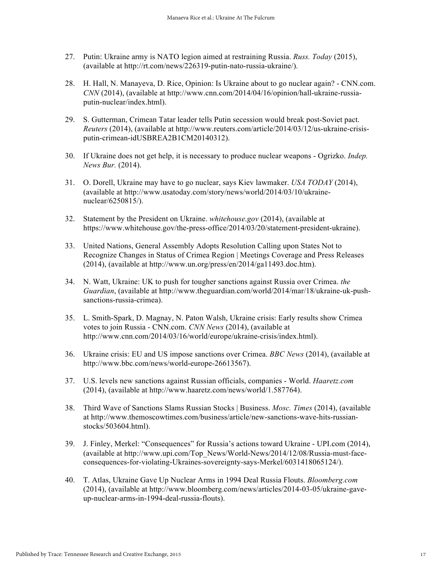- 27. Putin: Ukraine army is NATO legion aimed at restraining Russia. *Russ. Today* (2015), (available at http://rt.com/news/226319-putin-nato-russia-ukraine/).
- 28. H. Hall, N. Manayeva, D. Rice, Opinion: Is Ukraine about to go nuclear again? CNN.com. *CNN* (2014), (available at http://www.cnn.com/2014/04/16/opinion/hall-ukraine-russiaputin-nuclear/index.html).
- 29. S. Gutterman, Crimean Tatar leader tells Putin secession would break post-Soviet pact. *Reuters* (2014), (available at http://www.reuters.com/article/2014/03/12/us-ukraine-crisisputin-crimean-idUSBREA2B1CM20140312).
- 30. If Ukraine does not get help, it is necessary to produce nuclear weapons Ogrizko. *Indep. News Bur.* (2014).
- 31. O. Dorell, Ukraine may have to go nuclear, says Kiev lawmaker. *USA TODAY* (2014), (available at http://www.usatoday.com/story/news/world/2014/03/10/ukrainenuclear/6250815/).
- 32. Statement by the President on Ukraine. *whitehouse.gov* (2014), (available at https://www.whitehouse.gov/the-press-office/2014/03/20/statement-president-ukraine).
- 33. United Nations, General Assembly Adopts Resolution Calling upon States Not to Recognize Changes in Status of Crimea Region | Meetings Coverage and Press Releases (2014), (available at http://www.un.org/press/en/2014/ga11493.doc.htm).
- 34. N. Watt, Ukraine: UK to push for tougher sanctions against Russia over Crimea. *the Guardian*, (available at http://www.theguardian.com/world/2014/mar/18/ukraine-uk-pushsanctions-russia-crimea).
- 35. L. Smith-Spark, D. Magnay, N. Paton Walsh, Ukraine crisis: Early results show Crimea votes to join Russia - CNN.com. *CNN News* (2014), (available at http://www.cnn.com/2014/03/16/world/europe/ukraine-crisis/index.html).
- 36. Ukraine crisis: EU and US impose sanctions over Crimea. *BBC News* (2014), (available at http://www.bbc.com/news/world-europe-26613567).
- 37. U.S. levels new sanctions against Russian officials, companies World. *Haaretz.com* (2014), (available at http://www.haaretz.com/news/world/1.587764).
- 38. Third Wave of Sanctions Slams Russian Stocks | Business. *Mosc. Times* (2014), (available at http://www.themoscowtimes.com/business/article/new-sanctions-wave-hits-russianstocks/503604.html).
- 39. J. Finley, Merkel: "Consequences" for Russia's actions toward Ukraine UPI.com (2014), (available at http://www.upi.com/Top\_News/World-News/2014/12/08/Russia-must-faceconsequences-for-violating-Ukraines-sovereignty-says-Merkel/6031418065124/).
- 40. T. Atlas, Ukraine Gave Up Nuclear Arms in 1994 Deal Russia Flouts. *Bloomberg.com* (2014), (available at http://www.bloomberg.com/news/articles/2014-03-05/ukraine-gaveup-nuclear-arms-in-1994-deal-russia-flouts).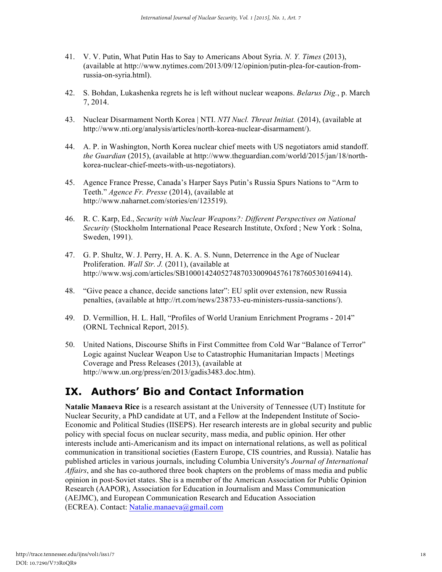- 41. V. V. Putin, What Putin Has to Say to Americans About Syria. *N. Y. Times* (2013), (available at http://www.nytimes.com/2013/09/12/opinion/putin-plea-for-caution-fromrussia-on-syria.html).
- 42. S. Bohdan, Lukashenka regrets he is left without nuclear weapons. *Belarus Dig.*, p. March 7, 2014.
- 43. Nuclear Disarmament North Korea | NTI. *NTI Nucl. Threat Initiat.* (2014), (available at http://www.nti.org/analysis/articles/north-korea-nuclear-disarmament/).
- 44. A. P. in Washington, North Korea nuclear chief meets with US negotiators amid standoff. *the Guardian* (2015), (available at http://www.theguardian.com/world/2015/jan/18/northkorea-nuclear-chief-meets-with-us-negotiators).
- 45. Agence France Presse, Canada's Harper Says Putin's Russia Spurs Nations to "Arm to Teeth." *Agence Fr. Presse* (2014), (available at http://www.naharnet.com/stories/en/123519).
- 46. R. C. Karp, Ed., *Security with Nuclear Weapons?: Different Perspectives on National Security* (Stockholm International Peace Research Institute, Oxford ; New York : Solna, Sweden, 1991).
- 47. G. P. Shultz, W. J. Perry, H. A. K. A. S. Nunn, Deterrence in the Age of Nuclear Proliferation. *Wall Str. J.* (2011), (available at http://www.wsj.com/articles/SB10001424052748703300904576178760530169414).
- 48. "Give peace a chance, decide sanctions later": EU split over extension, new Russia penalties, (available at http://rt.com/news/238733-eu-ministers-russia-sanctions/).
- 49. D. Vermillion, H. L. Hall, "Profiles of World Uranium Enrichment Programs 2014" (ORNL Technical Report, 2015).
- 50. United Nations, Discourse Shifts in First Committee from Cold War "Balance of Terror" Logic against Nuclear Weapon Use to Catastrophic Humanitarian Impacts | Meetings Coverage and Press Releases (2013), (available at http://www.un.org/press/en/2013/gadis3483.doc.htm).

### **IX. Authors' Bio and Contact Information**

**Natalie Manaeva Rice** is a research assistant at the University of Tennessee (UT) Institute for Nuclear Security, a PhD candidate at UT, and a Fellow at the Independent Institute of Socio-Economic and Political Studies (IISEPS). Her research interests are in global security and public policy with special focus on nuclear security, mass media, and public opinion. Her other interests include anti-Americanism and its impact on international relations, as well as political communication in transitional societies (Eastern Europe, CIS countries, and Russia). Natalie has published articles in various journals, including Columbia University's *Journal of International Affairs*, and she has co-authored three book chapters on the problems of mass media and public opinion in post-Soviet states. She is a member of the American Association for Public Opinion Research (AAPOR), Association for Education in Journalism and Mass Communication (AEJMC), and European Communication Research and Education Association (ECREA). Contact: Natalie.manaeva@gmail.com